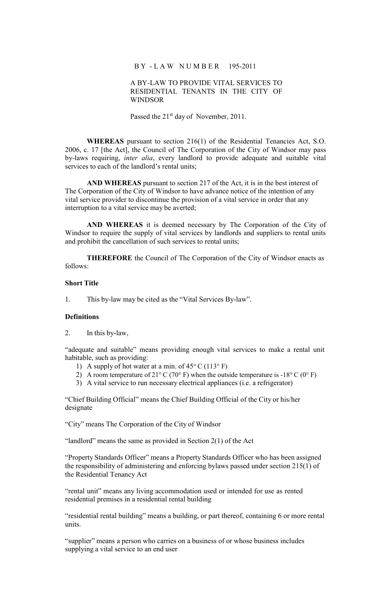### B Y - L A W N U M B E R 195-2011

## A BY-LAW TO PROVIDE VITAL SERVICES TO RESIDENTIAL TENANTS IN THE CITY OF WINDSOR

Passed the 21<sup>st</sup> day of November, 2011.

**WHEREAS** pursuant to section 216(1) of the Residential Tenancies Act, S.O. 2006, c. 17 [the Act], the Council of The Corporation of the City of Windsor may pass by-laws requiring, *inter alia*, every landlord to provide adequate and suitable vital services to each of the landlord's rental units;

**AND WHEREAS** pursuant to section 217 of the Act, it is in the best interest of The Corporation of the City of Windsor to have advance notice of the intention of any vital service provider to discontinue the provision of a vital service in order that any interruption to a vital service may be averted;

**AND WHEREAS** it is deemed necessary by The Corporation of the City of Windsor to require the supply of vital services by landlords and suppliers to rental units and prohibit the cancellation of such services to rental units;

**THEREFORE** the Council of The Corporation of the City of Windsor enacts as follows:

# **Short Title**

1. This by-law may be cited as the "Vital Services By-law".

## **Definitions**

2. In this by-law,

"adequate and suitable" means providing enough vital services to make a rental unit habitable, such as providing:

- 1) A supply of hot water at a min. of  $45^{\circ}$  C (113° F)
- 2) A room temperature of 21 $\degree$  C (70 $\degree$  F) when the outside temperature is -18 $\degree$  C (0 $\degree$  F)
- 3) A vital service to run necessary electrical appliances (i.e. a refrigerator)

"Chief Building Official" means the Chief Building Official of the City or his/her designate

"City" means The Corporation of the City of Windsor

"landlord" means the same as provided in Section  $2(1)$  of the Act

"Property Standards Officer" means a Property Standards Officer who has been assigned the responsibility of administering and enforcing bylaws passed under section 215(1) of the Residential Tenancy Act

"rental unit" means any living accommodation used or intended for use as rented residential premises in a residential rental building

"residential rental building" means a building, or part thereof, containing 6 or more rental units.

"supplier" means a person who carries on a business of or whose business includes supplying a vital service to an end user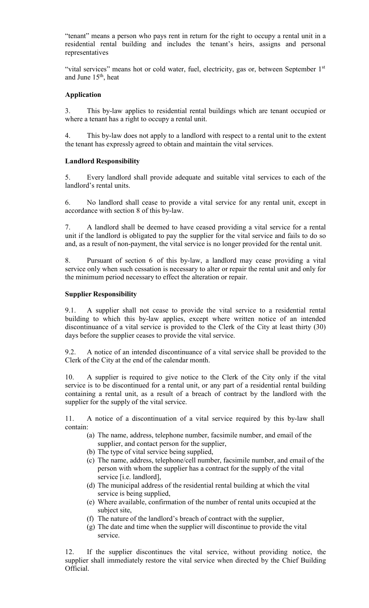"tenant" means a person who pays rent in return for the right to occupy a rental unit in a residential rental building and includes the tenant's heirs, assigns and personal representatives

"vital services" means hot or cold water, fuel, electricity, gas or, between September 1st and June  $15<sup>th</sup>$ , heat

# **Application**

3. This by-law applies to residential rental buildings which are tenant occupied or where a tenant has a right to occupy a rental unit.

4. This by-law does not apply to a landlord with respect to a rental unit to the extent the tenant has expressly agreed to obtain and maintain the vital services.

# **Landlord Responsibility**

5. Every landlord shall provide adequate and suitable vital services to each of the landlord's rental units.

6. No landlord shall cease to provide a vital service for any rental unit, except in accordance with section 8 of this by-law.

7. A landlord shall be deemed to have ceased providing a vital service for a rental unit if the landlord is obligated to pay the supplier for the vital service and fails to do so and, as a result of non-payment, the vital service is no longer provided for the rental unit.

8. Pursuant of section 6 of this by-law, a landlord may cease providing a vital service only when such cessation is necessary to alter or repair the rental unit and only for the minimum period necessary to effect the alteration or repair.

# **Supplier Responsibility**

9.1. A supplier shall not cease to provide the vital service to a residential rental building to which this by-law applies, except where written notice of an intended discontinuance of a vital service is provided to the Clerk of the City at least thirty (30) days before the supplier ceases to provide the vital service.

9.2. A notice of an intended discontinuance of a vital service shall be provided to the Clerk of the City at the end of the calendar month.

10. A supplier is required to give notice to the Clerk of the City only if the vital service is to be discontinued for a rental unit, or any part of a residential rental building containing a rental unit, as a result of a breach of contract by the landlord with the supplier for the supply of the vital service.

11. A notice of a discontinuation of a vital service required by this by-law shall contain:

- (a) The name, address, telephone number, facsimile number, and email of the supplier, and contact person for the supplier,
- (b) The type of vital service being supplied,
- (c) The name, address, telephone/cell number, facsimile number, and email of the person with whom the supplier has a contract for the supply of the vital service [i.e. landlord],
- (d) The municipal address of the residential rental building at which the vital service is being supplied,
- (e) Where available, confirmation of the number of rental units occupied at the subject site,
- (f) The nature of the landlord's breach of contract with the supplier,
- (g) The date and time when the supplier will discontinue to provide the vital service.

12. If the supplier discontinues the vital service, without providing notice, the supplier shall immediately restore the vital service when directed by the Chief Building Official.